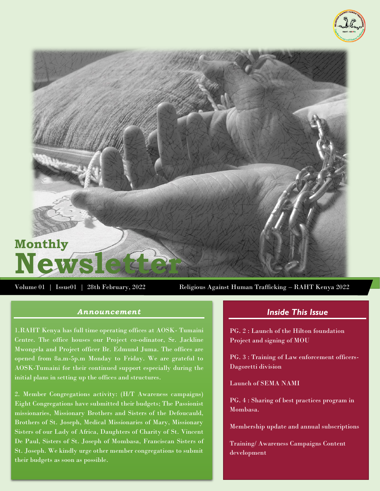



Volume 01 | Issue01 | 28th February, 2022 Religious Against Human Trafficking – RAHT Kenya 2022

#### *Announcement*

1.RAHT Kenya has full time operating offices at AOSK- Tumaini Centre. The office houses our Project co-odinator, Sr. Jackline Mwongela and Project officer Br. Edmund Juma. The offices are opened from 8a.m-5p.m Monday to Friday. We are grateful to AOSK-Tumaini for their continued support especially during the initial plans in setting up the offices and structures.

2. Member Congregations activity: (H/T Awareness campaigns) Eight Congregations have submitted their budgets; The Passionist missionaries, Missionary Brothers and Sisters of the Defoucauld, Brothers of St. Joseph, Medical Missionaries of Mary, Missionary Sisters of our Lady of Africa, Daughters of Charity of St. Vincent De Paul, Sisters of St. Joseph of Mombasa, Franciscan Sisters of St. Joseph. We kindly urge other member congregations to submit their budgets as soon as possible.

## *Inside This Issue*

PG. 2 : Launch of the Hilton foundation Project and signing of MOU

PG. 3 : Training of Law enforcement officers-Dagoretti division

Launch of SEMA NAMI

PG. 4 : Sharing of best practices program in Mombasa.

Membership update and annual subscriptions

Training/ Awareness Campaigns Content development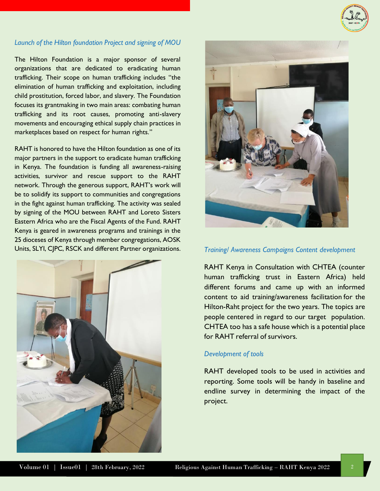

## *Launch of the Hilton foundation Project and signing of MOU*

The Hilton Foundation is a major sponsor of several organizations that are dedicated to eradicating human trafficking. Their scope on human trafficking includes "the elimination of human trafficking and exploitation, including child prostitution, forced labor, and slavery. The Foundation focuses its grantmaking in two main areas: combating human trafficking and its root causes, promoting anti-slavery movements and encouraging ethical supply chain practices in marketplaces based on respect for human rights."

RAHT is honored to have the Hilton foundation as one of its major partners in the support to eradicate human trafficking in Kenya. The foundation is funding all awareness-raising activities, survivor and rescue support to the RAHT network. Through the generous support, RAHT's work will be to solidify its support to communities and congregations in the fight against human trafficking. The activity was sealed by signing of the MOU between RAHT and Loreto Sisters Eastern Africa who are the Fiscal Agents of the Fund. RAHT Kenya is geared in awareness programs and trainings in the 25 dioceses of Kenya through member congregations, AOSK Units, SLYI, CJPC, RSCK and different Partner organizations. *Training/ Awareness Campaigns Content development*





RAHT Kenya in Consultation with CHTEA (counter human trafficking trust in Eastern Africa) held different forums and came up with an informed content to aid training/awareness facilitation for the Hilton-Raht project for the two years. The topics are people centered in regard to our target population. CHTEA too has a safe house which is a potential place for RAHT referral of survivors.

#### *Development of tools*

RAHT developed tools to be used in activities and reporting. Some tools will be handy in baseline and endline survey in determining the impact of the project.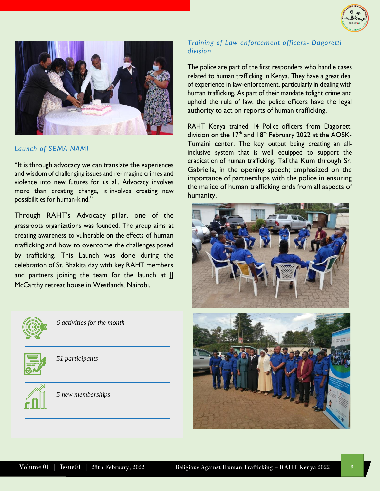



#### *Launch of SEMA NAMI*

"It is through advocacy we can translate the experiences and wisdom of challenging issues and re-imagine crimes and violence into new futures for us all. Advocacy involves more than creating change, it involves creating new possibilities for human-kind."

Through RAHT's Advocacy pillar, one of the grassroots organizations was founded. The group aims at creating awareness to vulnerable on the effects of human trafficking and how to overcome the challenges posed by trafficking. This Launch was done during the celebration of St. Bhakita day with key RAHT members and partners joining the team for the launch at JJ McCarthy retreat house in Westlands, Nairobi.



*6 activities for the month*



*51 participants*



*5 new memberships*

## *Training of Law enforcement officers- Dagoretti division*

The police are part of the first responders who handle cases related to human trafficking in Kenya. They have a great deal of experience in law-enforcement, particularly in dealing with human trafficking. As part of their mandate tofight crime and uphold the rule of law, the police officers have the legal authority to act on reports of human trafficking.

RAHT Kenya trained 14 Police officers from Dagoretti division on the  $17<sup>th</sup>$  and  $18<sup>th</sup>$  February 2022 at the AOSK-Tumaini center. The key output being creating an allinclusive system that is well equipped to support the eradication of human trafficking. Talitha Kum through Sr. Gabriella, in the opening speech; emphasized on the importance of partnerships with the police in ensuring the malice of human trafficking ends from all aspects of humanity.

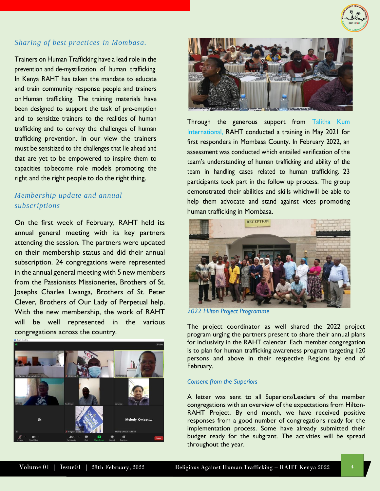

# *Sharing of best practices in Mombasa.*

Trainers on Human Trafficking have a lead role in the prevention and de-mystification of human trafficking. In Kenya RAHT has taken the mandate to educate and train community response people and trainers on Human trafficking. The training materials have been designed to support the task of pre-emption and to sensitize trainers to the realities of human trafficking and to convey the challenges of human trafficking prevention. In our view the trainers must be sensitized to the challenges that lie ahead and that are yet to be empowered to inspire them to capacities to become role models promoting the right and the right people to do the right thing.

## *Membership update and annual subscriptions*

On the first week of February, RAHT held its annual general meeting with its key partners attending the session. The partners were updated on their membership status and did their annual subscription. 24 congregations were represented in the annual general meeting with 5 new members from the Passionists Missioneries, Brothers of St. Josephs Charles Lwanga, Brothers of St. Peter Clever, Brothers of Our Lady of Perpetual help. With the new membership, the work of RAHT will be well represented in the various congregations across the country.





Through the generous support from Talitha Kum International, RAHT conducted a training in May 2021 for first responders in Mombasa County. In February 2022, an assessment was conducted which entailed verification of the team's understanding of human trafficking and ability of the team in handling cases related to human trafficking. 23 participants took part in the follow up process. The group demonstrated their abilities and skills whichwill be able to help them advocate and stand against vices promoting human trafficking in Mombasa.



*2022 Hilton Project Programme*

The project coordinator as well shared the 2022 project program urging the partners present to share their annual plans for inclusivity in the RAHT calendar. Each member congregation is to plan for human trafficking awareness program targeting 120 persons and above in their respective Regions by end of February.

#### *Consent from the Superiors*

A letter was sent to all Superiors/Leaders of the member congregations with an overview of the expectations from Hilton-RAHT Project. By end month, we have received positive responses from a good number of congregations ready for the implementation process. Some have already submitted their budget ready for the subgrant. The activities will be spread throughout the year.